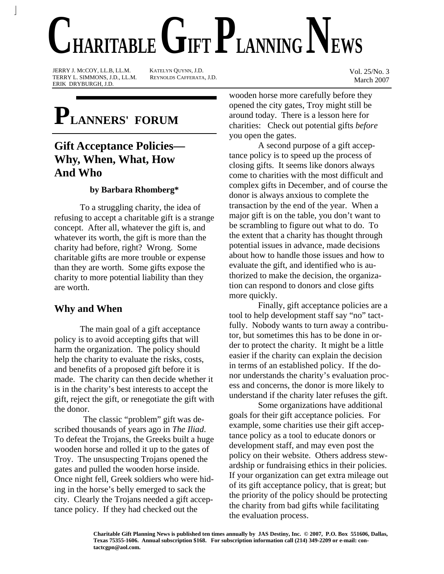# **CONSTABLE GIFT PLANNING NEWS**

JERRY J. MCCOY, LL.B, LL.M. KATELYN QUYNN, J.D. TERRY L. SIMMONS, J.D., LL.M. REYNOLDS CAFFERATA, J.D. ERIK DRYBURGH, J.D.

 $\rfloor$ 

**PLANNERS' FORUM** 

# **Gift Acceptance Policies— Why, When, What, How And Who**

# **by Barbara Rhomberg\***

To a struggling charity, the idea of refusing to accept a charitable gift is a strange concept. After all, whatever the gift is, and whatever its worth, the gift is more than the charity had before, right? Wrong. Some charitable gifts are more trouble or expense than they are worth. Some gifts expose the charity to more potential liability than they are worth.

# **Why and When**

The main goal of a gift acceptance policy is to avoid accepting gifts that will harm the organization. The policy should help the charity to evaluate the risks, costs, and benefits of a proposed gift before it is made. The charity can then decide whether it is in the charity's best interests to accept the gift, reject the gift, or renegotiate the gift with the donor.

The classic "problem" gift was described thousands of years ago in *The Iliad*. To defeat the Trojans, the Greeks built a huge wooden horse and rolled it up to the gates of Troy. The unsuspecting Trojans opened the gates and pulled the wooden horse inside. Once night fell, Greek soldiers who were hiding in the horse's belly emerged to sack the city. Clearly the Trojans needed a gift acceptance policy. If they had checked out the

Vol. 25/No. 3 March 2007

wooden horse more carefully before they opened the city gates, Troy might still be around today. There is a lesson here for charities: Check out potential gifts *before* you open the gates.

A second purpose of a gift acceptance policy is to speed up the process of closing gifts. It seems like donors always come to charities with the most difficult and complex gifts in December, and of course the donor is always anxious to complete the transaction by the end of the year. When a major gift is on the table, you don't want to be scrambling to figure out what to do. To the extent that a charity has thought through potential issues in advance, made decisions about how to handle those issues and how to evaluate the gift, and identified who is authorized to make the decision, the organization can respond to donors and close gifts more quickly.

Finally, gift acceptance policies are a tool to help development staff say "no" tactfully. Nobody wants to turn away a contributor, but sometimes this has to be done in order to protect the charity. It might be a little easier if the charity can explain the decision in terms of an established policy. If the donor understands the charity's evaluation process and concerns, the donor is more likely to understand if the charity later refuses the gift.

Some organizations have additional goals for their gift acceptance policies. For example, some charities use their gift acceptance policy as a tool to educate donors or development staff, and may even post the policy on their website. Others address stewardship or fundraising ethics in their policies. If your organization can get extra mileage out of its gift acceptance policy, that is great; but the priority of the policy should be protecting the charity from bad gifts while facilitating the evaluation process.

 **Charitable Gift Planning News is published ten times annually by JAS Destiny, Inc. © 2007, P.O. Box 551606, Dallas, Texas 75355-1606. Annual subscription \$168. For subscription information call (214) 349-2209 or e-mail: contactcgpn@aol.com.**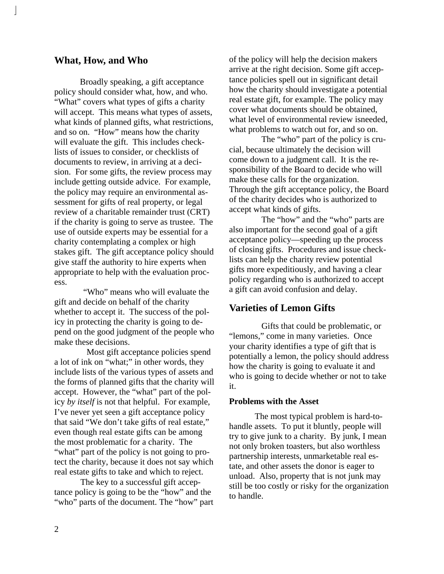## **What, How, and Who**

Broadly speaking, a gift acceptance policy should consider what, how, and who. "What" covers what types of gifts a charity" will accept. This means what types of assets, what kinds of planned gifts, what restrictions, and so on. "How" means how the charity will evaluate the gift. This includes checklists of issues to consider, or checklists of documents to review, in arriving at a decision. For some gifts, the review process may include getting outside advice. For example, the policy may require an environmental assessment for gifts of real property, or legal review of a charitable remainder trust (CRT) if the charity is going to serve as trustee. The use of outside experts may be essential for a charity contemplating a complex or high stakes gift. The gift acceptance policy should give staff the authority to hire experts when appropriate to help with the evaluation process.

"Who" means who will evaluate the gift and decide on behalf of the charity whether to accept it. The success of the policy in protecting the charity is going to depend on the good judgment of the people who make these decisions.

Most gift acceptance policies spend a lot of ink on "what;" in other words, they include lists of the various types of assets and the forms of planned gifts that the charity will accept. However, the "what" part of the policy *by itself* is not that helpful. For example, I've never yet seen a gift acceptance policy that said "We don't take gifts of real estate," even though real estate gifts can be among the most problematic for a charity. The "what" part of the policy is not going to protect the charity, because it does not say which real estate gifts to take and which to reject.

 The key to a successful gift acceptance policy is going to be the "how" and the "who" parts of the document. The "how" part of the policy will help the decision makers arrive at the right decision. Some gift acceptance policies spell out in significant detail how the charity should investigate a potential real estate gift, for example. The policy may cover what documents should be obtained, what level of environmental review isneeded, what problems to watch out for, and so on.

The "who" part of the policy is crucial, because ultimately the decision will come down to a judgment call. It is the responsibility of the Board to decide who will make these calls for the organization. Through the gift acceptance policy, the Board of the charity decides who is authorized to accept what kinds of gifts.

The "how" and the "who" parts are also important for the second goal of a gift acceptance policy—speeding up the process of closing gifts. Procedures and issue checklists can help the charity review potential gifts more expeditiously, and having a clear policy regarding who is authorized to accept a gift can avoid confusion and delay.

## **Varieties of Lemon Gifts**

Gifts that could be problematic, or "lemons," come in many varieties. Once your charity identifies a type of gift that is potentially a lemon, the policy should address how the charity is going to evaluate it and who is going to decide whether or not to take it.

#### **Problems with the Asset**

The most typical problem is hard-tohandle assets. To put it bluntly, people will try to give junk to a charity. By junk, I mean not only broken toasters, but also worthless partnership interests, unmarketable real estate, and other assets the donor is eager to unload. Also, property that is not junk may still be too costly or risky for the organization to handle.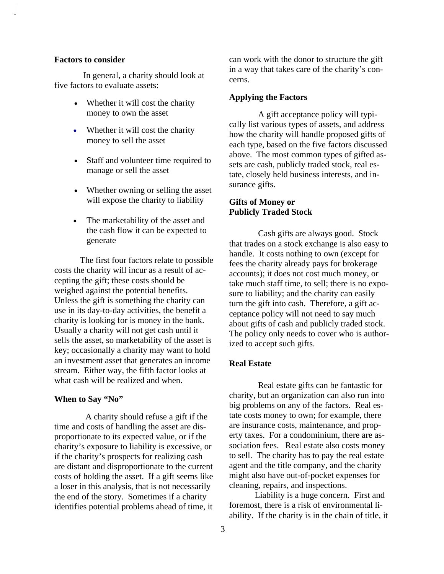#### **Factors to consider**

In general, a charity should look at five factors to evaluate assets:

- Whether it will cost the charity money to own the asset
- Whether it will cost the charity money to sell the asset
- Staff and volunteer time required to manage or sell the asset
- Whether owning or selling the asset will expose the charity to liability
- The marketability of the asset and the cash flow it can be expected to generate

The first four factors relate to possible costs the charity will incur as a result of accepting the gift; these costs should be weighed against the potential benefits. Unless the gift is something the charity can use in its day-to-day activities, the benefit a charity is looking for is money in the bank. Usually a charity will not get cash until it sells the asset, so marketability of the asset is key; occasionally a charity may want to hold an investment asset that generates an income stream. Either way, the fifth factor looks at what cash will be realized and when.

#### **When to Say "No"**

A charity should refuse a gift if the time and costs of handling the asset are disproportionate to its expected value, or if the charity's exposure to liability is excessive, or if the charity's prospects for realizing cash are distant and disproportionate to the current costs of holding the asset. If a gift seems like a loser in this analysis, that is not necessarily the end of the story. Sometimes if a charity identifies potential problems ahead of time, it can work with the donor to structure the gift in a way that takes care of the charity's concerns.

#### **Applying the Factors**

A gift acceptance policy will typically list various types of assets, and address how the charity will handle proposed gifts of each type, based on the five factors discussed above. The most common types of gifted assets are cash, publicly traded stock, real estate, closely held business interests, and insurance gifts.

### **Gifts of Money or Publicly Traded Stock**

Cash gifts are always good. Stock that trades on a stock exchange is also easy to handle. It costs nothing to own (except for fees the charity already pays for brokerage accounts); it does not cost much money, or take much staff time, to sell; there is no exposure to liability; and the charity can easily turn the gift into cash. Therefore, a gift acceptance policy will not need to say much about gifts of cash and publicly traded stock. The policy only needs to cover who is authorized to accept such gifts.

#### **Real Estate**

Real estate gifts can be fantastic for charity, but an organization can also run into big problems on any of the factors. Real estate costs money to own; for example, there are insurance costs, maintenance, and property taxes. For a condominium, there are association fees. Real estate also costs money to sell. The charity has to pay the real estate agent and the title company, and the charity might also have out-of-pocket expenses for cleaning, repairs, and inspections.

Liability is a huge concern. First and foremost, there is a risk of environmental liability. If the charity is in the chain of title, it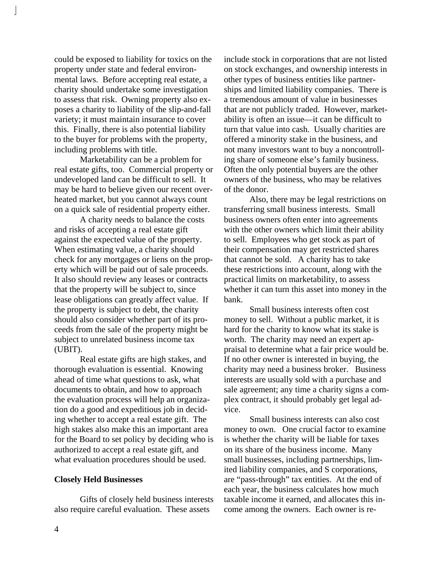could be exposed to liability for toxics on the property under state and federal environmental laws. Before accepting real estate, a charity should undertake some investigation to assess that risk. Owning property also exposes a charity to liability of the slip-and-fall variety; it must maintain insurance to cover this. Finally, there is also potential liability to the buyer for problems with the property, including problems with title.

Marketability can be a problem for real estate gifts, too. Commercial property or undeveloped land can be difficult to sell. It may be hard to believe given our recent overheated market, but you cannot always count on a quick sale of residential property either.

A charity needs to balance the costs and risks of accepting a real estate gift against the expected value of the property. When estimating value, a charity should check for any mortgages or liens on the property which will be paid out of sale proceeds. It also should review any leases or contracts that the property will be subject to, since lease obligations can greatly affect value. If the property is subject to debt, the charity should also consider whether part of its proceeds from the sale of the property might be subject to unrelated business income tax (UBIT).

Real estate gifts are high stakes, and thorough evaluation is essential. Knowing ahead of time what questions to ask, what documents to obtain, and how to approach the evaluation process will help an organization do a good and expeditious job in deciding whether to accept a real estate gift. The high stakes also make this an important area for the Board to set policy by deciding who is authorized to accept a real estate gift, and what evaluation procedures should be used.

#### **Closely Held Businesses**

Gifts of closely held business interests also require careful evaluation. These assets

include stock in corporations that are not listed on stock exchanges, and ownership interests in other types of business entities like partnerships and limited liability companies. There is a tremendous amount of value in businesses that are not publicly traded. However, marketability is often an issue—it can be difficult to turn that value into cash. Usually charities are offered a minority stake in the business, and not many investors want to buy a noncontrolling share of someone else's family business. Often the only potential buyers are the other owners of the business, who may be relatives of the donor.

Also, there may be legal restrictions on transferring small business interests. Small business owners often enter into agreements with the other owners which limit their ability to sell. Employees who get stock as part of their compensation may get restricted shares that cannot be sold. A charity has to take these restrictions into account, along with the practical limits on marketability, to assess whether it can turn this asset into money in the bank.

Small business interests often cost money to sell. Without a public market, it is hard for the charity to know what its stake is worth. The charity may need an expert appraisal to determine what a fair price would be. If no other owner is interested in buying, the charity may need a business broker. Business interests are usually sold with a purchase and sale agreement; any time a charity signs a complex contract, it should probably get legal advice.

Small business interests can also cost money to own. One crucial factor to examine is whether the charity will be liable for taxes on its share of the business income. Many small businesses, including partnerships, limited liability companies, and S corporations, are "pass-through" tax entities. At the end of each year, the business calculates how much taxable income it earned, and allocates this income among the owners. Each owner is re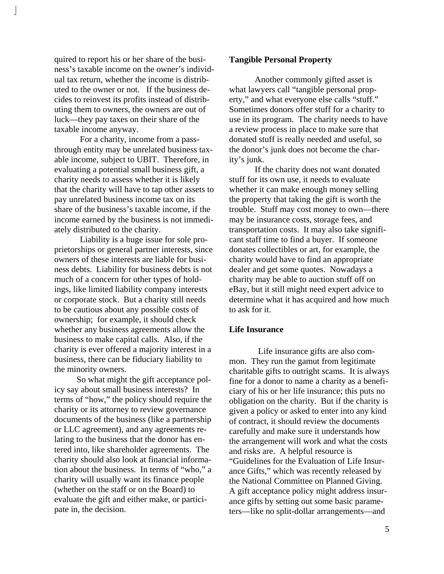quired to report his or her share of the business's taxable income on the owner's individual tax return, whether the income is distributed to the owner or not. If the business decides to reinvest its profits instead of distributing them to owners, the owners are out of luck—they pay taxes on their share of the taxable income anyway.

For a charity, income from a passthrough entity may be unrelated business taxable income, subject to UBIT. Therefore, in evaluating a potential small business gift, a charity needs to assess whether it is likely that the charity will have to tap other assets to pay unrelated business income tax on its share of the business's taxable income, if the income earned by the business is not immediately distributed to the charity.

Liability is a huge issue for sole proprietorships or general partner interests, since owners of these interests are liable for business debts. Liability for business debts is not much of a concern for other types of holdings, like limited liability company interests or corporate stock. But a charity still needs to be cautious about any possible costs of ownership; for example, it should check whether any business agreements allow the business to make capital calls. Also, if the charity is ever offered a majority interest in a business, there can be fiduciary liability to the minority owners.

So what might the gift acceptance policy say about small business interests? In terms of "how," the policy should require the charity or its attorney to review governance documents of the business (like a partnership or LLC agreement), and any agreements relating to the business that the donor has entered into, like shareholder agreements. The charity should also look at financial information about the business. In terms of "who," a charity will usually want its finance people (whether on the staff or on the Board) to evaluate the gift and either make, or participate in, the decision.

#### **Tangible Personal Property**

Another commonly gifted asset is what lawyers call "tangible personal property," and what everyone else calls "stuff." Sometimes donors offer stuff for a charity to use in its program. The charity needs to have a review process in place to make sure that donated stuff is really needed and useful, so the donor's junk does not become the charity's junk.

If the charity does not want donated stuff for its own use, it needs to evaluate whether it can make enough money selling the property that taking the gift is worth the trouble. Stuff may cost money to own—there may be insurance costs, storage fees, and transportation costs. It may also take significant staff time to find a buyer. If someone donates collectibles or art, for example, the charity would have to find an appropriate dealer and get some quotes. Nowadays a charity may be able to auction stuff off on eBay, but it still might need expert advice to determine what it has acquired and how much to ask for it.

#### **Life Insurance**

Life insurance gifts are also common. They run the gamut from legitimate charitable gifts to outright scams. It is always fine for a donor to name a charity as a beneficiary of his or her life insurance; this puts no obligation on the charity. But if the charity is given a policy or asked to enter into any kind of contract, it should review the documents carefully and make sure it understands how the arrangement will work and what the costs and risks are. A helpful resource is "Guidelines for the Evaluation of Life Insurance Gifts," which was recently released by the National Committee on Planned Giving. A gift acceptance policy might address insurance gifts by setting out some basic parameters—like no split-dollar arrangements—and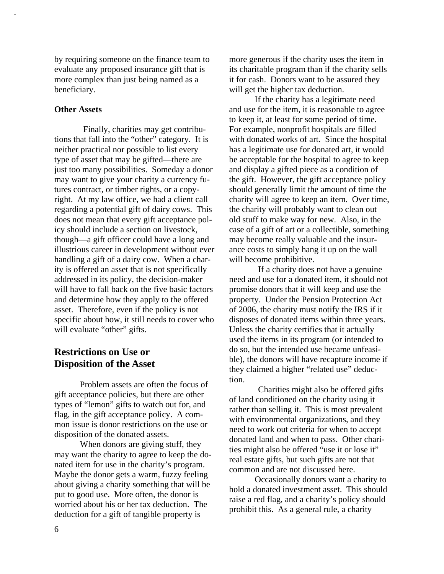by requiring someone on the finance team to evaluate any proposed insurance gift that is more complex than just being named as a beneficiary.

#### **Other Assets**

Finally, charities may get contributions that fall into the "other" category. It is neither practical nor possible to list every type of asset that may be gifted—there are just too many possibilities. Someday a donor may want to give your charity a currency futures contract, or timber rights, or a copyright. At my law office, we had a client call regarding a potential gift of dairy cows. This does not mean that every gift acceptance policy should include a section on livestock, though—a gift officer could have a long and illustrious career in development without ever handling a gift of a dairy cow. When a charity is offered an asset that is not specifically addressed in its policy, the decision-maker will have to fall back on the five basic factors and determine how they apply to the offered asset. Therefore, even if the policy is not specific about how, it still needs to cover who will evaluate "other" gifts.

# **Restrictions on Use or Disposition of the Asset**

Problem assets are often the focus of gift acceptance policies, but there are other types of "lemon" gifts to watch out for, and flag, in the gift acceptance policy. A common issue is donor restrictions on the use or disposition of the donated assets.

When donors are giving stuff, they may want the charity to agree to keep the donated item for use in the charity's program. Maybe the donor gets a warm, fuzzy feeling about giving a charity something that will be put to good use. More often, the donor is worried about his or her tax deduction. The deduction for a gift of tangible property is

more generous if the charity uses the item in its charitable program than if the charity sells it for cash. Donors want to be assured they will get the higher tax deduction.

If the charity has a legitimate need and use for the item, it is reasonable to agree to keep it, at least for some period of time. For example, nonprofit hospitals are filled with donated works of art. Since the hospital has a legitimate use for donated art, it would be acceptable for the hospital to agree to keep and display a gifted piece as a condition of the gift. However, the gift acceptance policy should generally limit the amount of time the charity will agree to keep an item. Over time, the charity will probably want to clean out old stuff to make way for new. Also, in the case of a gift of art or a collectible, something may become really valuable and the insurance costs to simply hang it up on the wall will become prohibitive.

If a charity does not have a genuine need and use for a donated item, it should not promise donors that it will keep and use the property. Under the Pension Protection Act of 2006, the charity must notify the IRS if it disposes of donated items within three years. Unless the charity certifies that it actually used the items in its program (or intended to do so, but the intended use became unfeasible), the donors will have recapture income if they claimed a higher "related use" deduction.

Charities might also be offered gifts of land conditioned on the charity using it rather than selling it. This is most prevalent with environmental organizations, and they need to work out criteria for when to accept donated land and when to pass. Other charities might also be offered "use it or lose it" real estate gifts, but such gifts are not that common and are not discussed here.

Occasionally donors want a charity to hold a donated investment asset. This should raise a red flag, and a charity's policy should prohibit this. As a general rule, a charity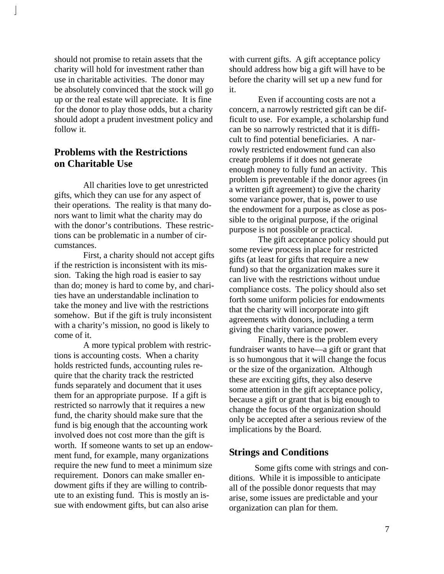should not promise to retain assets that the charity will hold for investment rather than use in charitable activities. The donor may be absolutely convinced that the stock will go up or the real estate will appreciate. It is fine for the donor to play those odds, but a charity should adopt a prudent investment policy and follow it.

# **Problems with the Restrictions on Charitable Use**

All charities love to get unrestricted gifts, which they can use for any aspect of their operations. The reality is that many donors want to limit what the charity may do with the donor's contributions. These restrictions can be problematic in a number of circumstances.

First, a charity should not accept gifts if the restriction is inconsistent with its mission. Taking the high road is easier to say than do; money is hard to come by, and charities have an understandable inclination to take the money and live with the restrictions somehow. But if the gift is truly inconsistent with a charity's mission, no good is likely to come of it.

A more typical problem with restrictions is accounting costs. When a charity holds restricted funds, accounting rules require that the charity track the restricted funds separately and document that it uses them for an appropriate purpose. If a gift is restricted so narrowly that it requires a new fund, the charity should make sure that the fund is big enough that the accounting work involved does not cost more than the gift is worth. If someone wants to set up an endowment fund, for example, many organizations require the new fund to meet a minimum size requirement. Donors can make smaller endowment gifts if they are willing to contribute to an existing fund. This is mostly an issue with endowment gifts, but can also arise

with current gifts. A gift acceptance policy should address how big a gift will have to be before the charity will set up a new fund for it.

Even if accounting costs are not a concern, a narrowly restricted gift can be difficult to use. For example, a scholarship fund can be so narrowly restricted that it is difficult to find potential beneficiaries. A narrowly restricted endowment fund can also create problems if it does not generate enough money to fully fund an activity. This problem is preventable if the donor agrees (in a written gift agreement) to give the charity some variance power, that is, power to use the endowment for a purpose as close as possible to the original purpose, if the original purpose is not possible or practical.

The gift acceptance policy should put some review process in place for restricted gifts (at least for gifts that require a new fund) so that the organization makes sure it can live with the restrictions without undue compliance costs. The policy should also set forth some uniform policies for endowments that the charity will incorporate into gift agreements with donors, including a term giving the charity variance power.

Finally, there is the problem every fundraiser wants to have—a gift or grant that is so humongous that it will change the focus or the size of the organization. Although these are exciting gifts, they also deserve some attention in the gift acceptance policy, because a gift or grant that is big enough to change the focus of the organization should only be accepted after a serious review of the implications by the Board.

## **Strings and Conditions**

Some gifts come with strings and conditions. While it is impossible to anticipate all of the possible donor requests that may arise, some issues are predictable and your organization can plan for them.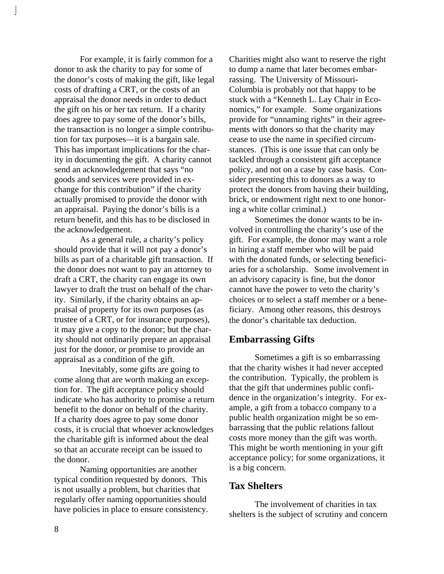For example, it is fairly common for a donor to ask the charity to pay for some of the donor's costs of making the gift, like legal costs of drafting a CRT, or the costs of an appraisal the donor needs in order to deduct the gift on his or her tax return. If a charity does agree to pay some of the donor's bills, the transaction is no longer a simple contribution for tax purposes—it is a bargain sale. This has important implications for the charity in documenting the gift. A charity cannot send an acknowledgement that says "no goods and services were provided in exchange for this contribution" if the charity actually promised to provide the donor with an appraisal. Paying the donor's bills is a return benefit, and this has to be disclosed in the acknowledgement.

As a general rule, a charity's policy should provide that it will not pay a donor's bills as part of a charitable gift transaction. If the donor does not want to pay an attorney to draft a CRT, the charity can engage its own lawyer to draft the trust on behalf of the charity. Similarly, if the charity obtains an appraisal of property for its own purposes (as trustee of a CRT, or for insurance purposes), it may give a copy to the donor; but the charity should not ordinarily prepare an appraisal just for the donor, or promise to provide an appraisal as a condition of the gift.

Inevitably, some gifts are going to come along that are worth making an exception for. The gift acceptance policy should indicate who has authority to promise a return benefit to the donor on behalf of the charity. If a charity does agree to pay some donor costs, it is crucial that whoever acknowledges the charitable gift is informed about the deal so that an accurate receipt can be issued to the donor.

Naming opportunities are another typical condition requested by donors. This is not usually a problem, but charities that regularly offer naming opportunities should have policies in place to ensure consistency. Charities might also want to reserve the right to dump a name that later becomes embarrassing. The University of Missouri-Columbia is probably not that happy to be stuck with a "Kenneth L. Lay Chair in Economics," for example. Some organizations provide for "unnaming rights" in their agreements with donors so that the charity may cease to use the name in specified circumstances. (This is one issue that can only be tackled through a consistent gift acceptance policy, and not on a case by case basis. Consider presenting this to donors as a way to protect the donors from having their building, brick, or endowment right next to one honoring a white collar criminal.)

Sometimes the donor wants to be involved in controlling the charity's use of the gift. For example, the donor may want a role in hiring a staff member who will be paid with the donated funds, or selecting beneficiaries for a scholarship. Some involvement in an advisory capacity is fine, but the donor cannot have the power to veto the charity's choices or to select a staff member or a beneficiary. Among other reasons, this destroys the donor's charitable tax deduction.

# **Embarrassing Gifts**

Sometimes a gift is so embarrassing that the charity wishes it had never accepted the contribution. Typically, the problem is that the gift that undermines public confidence in the organization's integrity. For example, a gift from a tobacco company to a public health organization might be so embarrassing that the public relations fallout costs more money than the gift was worth. This might be worth mentioning in your gift acceptance policy; for some organizations, it is a big concern.

# **Tax Shelters**

The involvement of charities in tax shelters is the subject of scrutiny and concern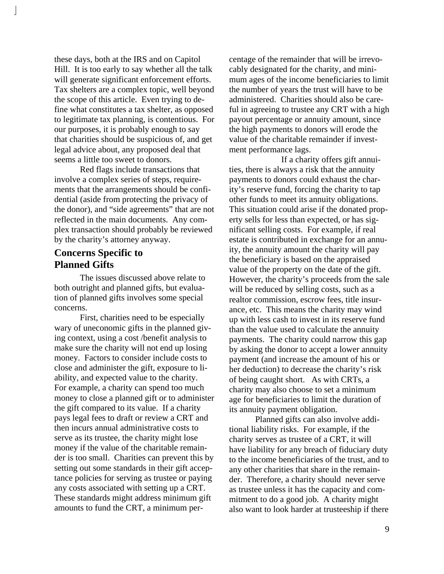these days, both at the IRS and on Capitol Hill. It is too early to say whether all the talk will generate significant enforcement efforts. Tax shelters are a complex topic, well beyond the scope of this article. Even trying to define what constitutes a tax shelter, as opposed to legitimate tax planning, is contentious. For our purposes, it is probably enough to say that charities should be suspicious of, and get legal advice about, any proposed deal that seems a little too sweet to donors.

Red flags include transactions that involve a complex series of steps, requirements that the arrangements should be confidential (aside from protecting the privacy of the donor), and "side agreements" that are not reflected in the main documents. Any complex transaction should probably be reviewed by the charity's attorney anyway.

# **Concerns Specific to Planned Gifts**

The issues discussed above relate to both outright and planned gifts, but evaluation of planned gifts involves some special concerns.

First, charities need to be especially wary of uneconomic gifts in the planned giving context, using a cost /benefit analysis to make sure the charity will not end up losing money. Factors to consider include costs to close and administer the gift, exposure to liability, and expected value to the charity. For example, a charity can spend too much money to close a planned gift or to administer the gift compared to its value. If a charity pays legal fees to draft or review a CRT and then incurs annual administrative costs to serve as its trustee, the charity might lose money if the value of the charitable remainder is too small. Charities can prevent this by setting out some standards in their gift acceptance policies for serving as trustee or paying any costs associated with setting up a CRT. These standards might address minimum gift amounts to fund the CRT, a minimum percentage of the remainder that will be irrevocably designated for the charity, and minimum ages of the income beneficiaries to limit the number of years the trust will have to be administered. Charities should also be careful in agreeing to trustee any CRT with a high payout percentage or annuity amount, since the high payments to donors will erode the value of the charitable remainder if investment performance lags.

 If a charity offers gift annuities, there is always a risk that the annuity payments to donors could exhaust the charity's reserve fund, forcing the charity to tap other funds to meet its annuity obligations. This situation could arise if the donated property sells for less than expected, or has significant selling costs. For example, if real estate is contributed in exchange for an annuity, the annuity amount the charity will pay the beneficiary is based on the appraised value of the property on the date of the gift. However, the charity's proceeds from the sale will be reduced by selling costs, such as a realtor commission, escrow fees, title insurance, etc. This means the charity may wind up with less cash to invest in its reserve fund than the value used to calculate the annuity payments. The charity could narrow this gap by asking the donor to accept a lower annuity payment (and increase the amount of his or her deduction) to decrease the charity's risk of being caught short. As with CRTs, a charity may also choose to set a minimum age for beneficiaries to limit the duration of its annuity payment obligation.

Planned gifts can also involve additional liability risks. For example, if the charity serves as trustee of a CRT, it will have liability for any breach of fiduciary duty to the income beneficiaries of the trust, and to any other charities that share in the remainder. Therefore, a charity should never serve as trustee unless it has the capacity and commitment to do a good job. A charity might also want to look harder at trusteeship if there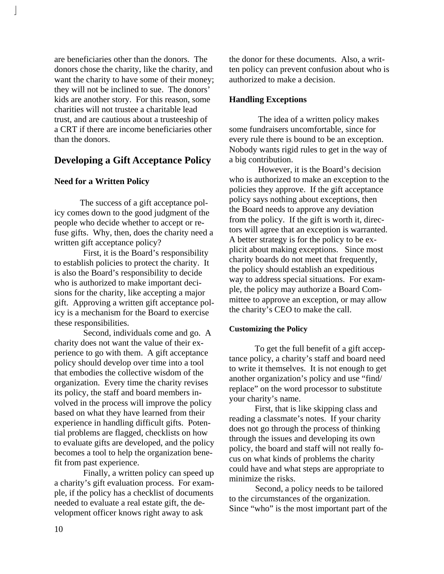are beneficiaries other than the donors. The donors chose the charity, like the charity, and want the charity to have some of their money; they will not be inclined to sue. The donors' kids are another story. For this reason, some charities will not trustee a charitable lead trust, and are cautious about a trusteeship of a CRT if there are income beneficiaries other than the donors.

# **Developing a Gift Acceptance Policy**

#### **Need for a Written Policy**

The success of a gift acceptance policy comes down to the good judgment of the people who decide whether to accept or refuse gifts. Why, then, does the charity need a written gift acceptance policy?

First, it is the Board's responsibility to establish policies to protect the charity. It is also the Board's responsibility to decide who is authorized to make important decisions for the charity, like accepting a major gift. Approving a written gift acceptance policy is a mechanism for the Board to exercise these responsibilities.

Second, individuals come and go. A charity does not want the value of their experience to go with them. A gift acceptance policy should develop over time into a tool that embodies the collective wisdom of the organization. Every time the charity revises its policy, the staff and board members involved in the process will improve the policy based on what they have learned from their experience in handling difficult gifts. Potential problems are flagged, checklists on how to evaluate gifts are developed, and the policy becomes a tool to help the organization benefit from past experience.

Finally, a written policy can speed up a charity's gift evaluation process. For example, if the policy has a checklist of documents needed to evaluate a real estate gift, the development officer knows right away to ask

the donor for these documents. Also, a written policy can prevent confusion about who is authorized to make a decision.

#### **Handling Exceptions**

The idea of a written policy makes some fundraisers uncomfortable, since for every rule there is bound to be an exception. Nobody wants rigid rules to get in the way of a big contribution.

However, it is the Board's decision who is authorized to make an exception to the policies they approve. If the gift acceptance policy says nothing about exceptions, then the Board needs to approve any deviation from the policy. If the gift is worth it, directors will agree that an exception is warranted. A better strategy is for the policy to be explicit about making exceptions. Since most charity boards do not meet that frequently, the policy should establish an expeditious way to address special situations. For example, the policy may authorize a Board Committee to approve an exception, or may allow the charity's CEO to make the call.

#### **Customizing the Policy**

To get the full benefit of a gift acceptance policy, a charity's staff and board need to write it themselves. It is not enough to get another organization's policy and use "find/ replace" on the word processor to substitute your charity's name.

First, that is like skipping class and reading a classmate's notes. If your charity does not go through the process of thinking through the issues and developing its own policy, the board and staff will not really focus on what kinds of problems the charity could have and what steps are appropriate to minimize the risks.

Second, a policy needs to be tailored to the circumstances of the organization. Since "who" is the most important part of the